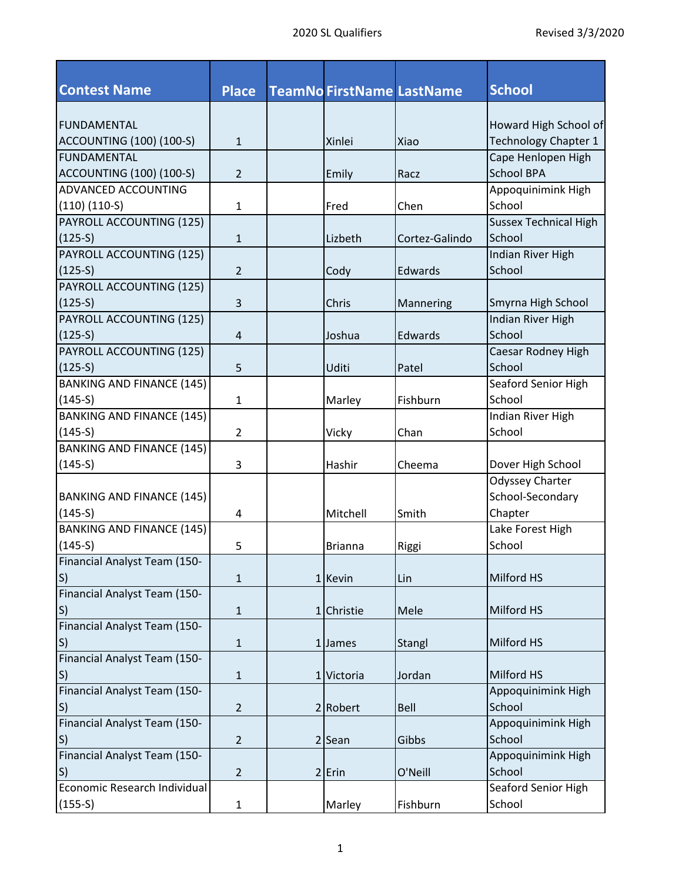| <b>Contest Name</b>              | <b>Place</b>   | <b>TeamNo FirstName LastName</b> |                | <b>School</b>                |
|----------------------------------|----------------|----------------------------------|----------------|------------------------------|
| <b>FUNDAMENTAL</b>               |                |                                  |                | Howard High School of        |
| <b>ACCOUNTING (100) (100-S)</b>  | $\mathbf{1}$   | Xinlei                           | Xiao           | <b>Technology Chapter 1</b>  |
| <b>FUNDAMENTAL</b>               |                |                                  |                | Cape Henlopen High           |
| <b>ACCOUNTING (100) (100-S)</b>  | $\overline{2}$ | Emily                            | Racz           | <b>School BPA</b>            |
| ADVANCED ACCOUNTING              |                |                                  |                | Appoquinimink High           |
| $(110)$ $(110-S)$                | $\mathbf{1}$   | Fred                             | Chen           | School                       |
| PAYROLL ACCOUNTING (125)         |                |                                  |                | <b>Sussex Technical High</b> |
| $(125-5)$                        | $\mathbf{1}$   | Lizbeth                          | Cortez-Galindo | School                       |
| PAYROLL ACCOUNTING (125)         |                |                                  |                | Indian River High            |
| $(125-5)$                        | $\overline{2}$ | Cody                             | Edwards        | School                       |
| PAYROLL ACCOUNTING (125)         |                |                                  |                |                              |
| $(125-5)$                        | 3              | Chris                            | Mannering      | Smyrna High School           |
| PAYROLL ACCOUNTING (125)         |                |                                  |                | Indian River High            |
| $(125-5)$                        | $\overline{4}$ | Joshua                           | Edwards        | School                       |
| PAYROLL ACCOUNTING (125)         |                |                                  |                | Caesar Rodney High           |
| $(125-S)$                        | 5              | Uditi                            | Patel          | School                       |
| <b>BANKING AND FINANCE (145)</b> |                |                                  |                | Seaford Senior High          |
| $(145-S)$                        | $\mathbf{1}$   | Marley                           | Fishburn       | School                       |
| <b>BANKING AND FINANCE (145)</b> |                |                                  |                | Indian River High            |
| $(145-S)$                        | $\overline{2}$ | Vicky                            | Chan           | School                       |
| <b>BANKING AND FINANCE (145)</b> |                |                                  |                |                              |
| $(145-S)$                        | 3              | Hashir                           | Cheema         | Dover High School            |
|                                  |                |                                  |                | Odyssey Charter              |
| <b>BANKING AND FINANCE (145)</b> |                |                                  |                | School-Secondary             |
| $(145-5)$                        | 4              | Mitchell                         | Smith          | Chapter                      |
| <b>BANKING AND FINANCE (145)</b> |                |                                  |                | Lake Forest High             |
| $(145-S)$                        | 5              | <b>Brianna</b>                   | Riggi          | School                       |
| Financial Analyst Team (150-     |                |                                  |                |                              |
| S)                               | $\mathbf{1}$   | 1 Kevin                          | Lin            | Milford HS                   |
| Financial Analyst Team (150-     |                |                                  |                |                              |
| S)                               | $\mathbf 1$    | 1 Christie                       | Mele           | Milford HS                   |
| Financial Analyst Team (150-     |                |                                  |                |                              |
| $ S\rangle$                      | $\mathbf{1}$   | 1 James                          | Stangl         | Milford HS                   |
| Financial Analyst Team (150-     |                |                                  |                |                              |
| S                                | $\mathbf{1}$   | 1 Victoria                       | Jordan         | Milford HS                   |
| Financial Analyst Team (150-     |                |                                  |                | Appoquinimink High           |
| S)                               | $\overline{2}$ | 2 Robert                         | Bell           | School                       |
| Financial Analyst Team (150-     |                |                                  |                | Appoquinimink High           |
| S)                               | $\overline{2}$ | $2$ Sean                         | Gibbs          | School                       |
| Financial Analyst Team (150-     |                |                                  |                | Appoquinimink High           |
| S)                               | $\overline{2}$ | $2$ Erin                         | O'Neill        | School                       |
| Economic Research Individual     |                |                                  |                | Seaford Senior High          |
| $(155-S)$                        | $\mathbf{1}$   | Marley                           | Fishburn       | School                       |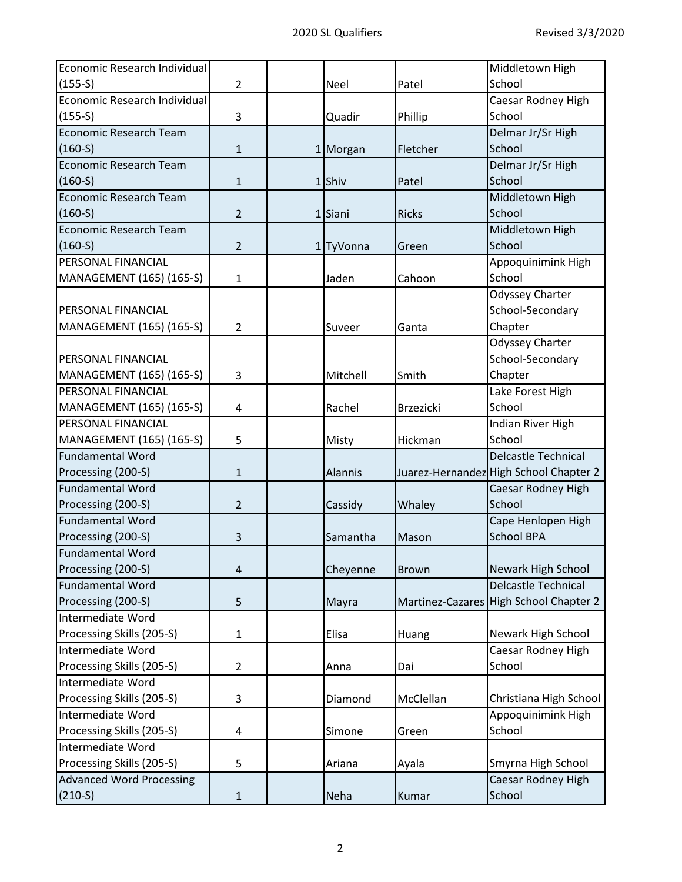| Economic Research Individual    |                |             |                  | Middletown High                        |
|---------------------------------|----------------|-------------|------------------|----------------------------------------|
| $(155-5)$                       | $\overline{2}$ | <b>Neel</b> | Patel            | School                                 |
| Economic Research Individual    |                |             |                  | Caesar Rodney High                     |
| $(155-S)$                       | 3              | Quadir      | Phillip          | School                                 |
| <b>Economic Research Team</b>   |                |             |                  | Delmar Jr/Sr High                      |
| $(160-S)$                       | $\mathbf{1}$   | 1 Morgan    | Fletcher         | School                                 |
| <b>Economic Research Team</b>   |                |             |                  | Delmar Jr/Sr High                      |
| $(160-S)$                       | $\mathbf{1}$   | 1Shiv       | Patel            | School                                 |
| Economic Research Team          |                |             |                  | Middletown High                        |
| $(160-S)$                       | $\overline{2}$ | 1Siani      | <b>Ricks</b>     | School                                 |
| <b>Economic Research Team</b>   |                |             |                  | Middletown High                        |
| $(160-S)$                       | $\overline{2}$ | 1 TyVonna   | Green            | School                                 |
| PERSONAL FINANCIAL              |                |             |                  | Appoquinimink High                     |
| MANAGEMENT (165) (165-S)        | $\mathbf{1}$   | Jaden       | Cahoon           | School                                 |
|                                 |                |             |                  | Odyssey Charter                        |
| PERSONAL FINANCIAL              |                |             |                  | School-Secondary                       |
| MANAGEMENT (165) (165-S)        | $\overline{2}$ | Suveer      | Ganta            | Chapter                                |
|                                 |                |             |                  | <b>Odyssey Charter</b>                 |
| PERSONAL FINANCIAL              |                |             |                  | School-Secondary                       |
| MANAGEMENT (165) (165-S)        | 3              | Mitchell    | Smith            | Chapter                                |
| PERSONAL FINANCIAL              |                |             |                  | Lake Forest High                       |
| MANAGEMENT (165) (165-S)        | 4              | Rachel      | <b>Brzezicki</b> | School                                 |
| PERSONAL FINANCIAL              |                |             |                  | Indian River High                      |
| MANAGEMENT (165) (165-S)        | 5              | Misty       | Hickman          | School                                 |
| <b>Fundamental Word</b>         |                |             |                  | <b>Delcastle Technical</b>             |
| Processing (200-S)              | $\mathbf{1}$   | Alannis     |                  | Juarez-Hernandez High School Chapter 2 |
| <b>Fundamental Word</b>         |                |             |                  | Caesar Rodney High                     |
| Processing (200-S)              | $\overline{2}$ | Cassidy     | Whaley           | School                                 |
| <b>Fundamental Word</b>         |                |             |                  | Cape Henlopen High                     |
| Processing (200-S)              | 3              | Samantha    | Mason            | <b>School BPA</b>                      |
| <b>Fundamental Word</b>         |                |             |                  |                                        |
| Processing (200-S)              | 4              | Cheyenne    | <b>Brown</b>     | Newark High School                     |
| <b>Fundamental Word</b>         |                |             |                  | <b>Delcastle Technical</b>             |
| Processing (200-S)              | 5              | Mayra       |                  | Martinez-Cazares High School Chapter 2 |
| Intermediate Word               |                |             |                  |                                        |
| Processing Skills (205-S)       | $\mathbf{1}$   | Elisa       | Huang            | Newark High School                     |
| Intermediate Word               |                |             |                  | Caesar Rodney High                     |
| Processing Skills (205-S)       | $\overline{2}$ | Anna        | Dai              | School                                 |
| Intermediate Word               |                |             |                  |                                        |
| Processing Skills (205-S)       | 3              | Diamond     | McClellan        | Christiana High School                 |
| Intermediate Word               |                |             |                  | Appoquinimink High                     |
| Processing Skills (205-S)       | 4              | Simone      | Green            | School                                 |
| Intermediate Word               |                |             |                  |                                        |
| Processing Skills (205-S)       | 5              | Ariana      | Ayala            | Smyrna High School                     |
| <b>Advanced Word Processing</b> |                |             |                  | Caesar Rodney High                     |
| $(210-S)$                       | $\mathbf{1}$   | Neha        | Kumar            | School                                 |
|                                 |                |             |                  |                                        |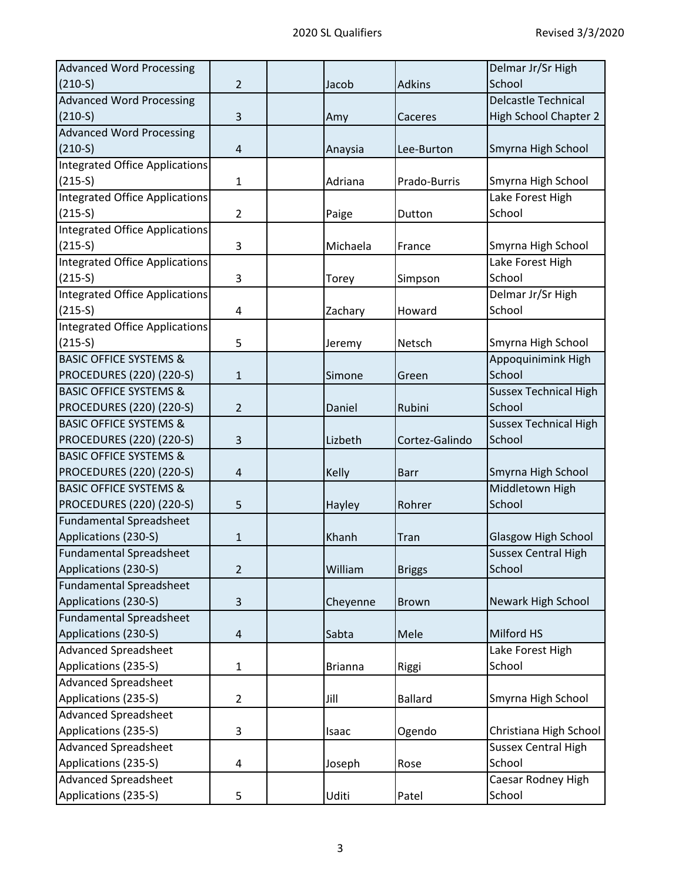| <b>Advanced Word Processing</b>       |                |                |                | Delmar Jr/Sr High            |
|---------------------------------------|----------------|----------------|----------------|------------------------------|
| $(210-S)$                             | $\overline{2}$ | Jacob          | <b>Adkins</b>  | School                       |
| <b>Advanced Word Processing</b>       |                |                |                | <b>Delcastle Technical</b>   |
| $(210-S)$                             | 3              | Amy            | Caceres        | <b>High School Chapter 2</b> |
| <b>Advanced Word Processing</b>       |                |                |                |                              |
| $(210-S)$                             | $\overline{4}$ | Anaysia        | Lee-Burton     | Smyrna High School           |
| <b>Integrated Office Applications</b> |                |                |                |                              |
| $(215-S)$                             | $\mathbf{1}$   | Adriana        | Prado-Burris   | Smyrna High School           |
| Integrated Office Applications        |                |                |                | Lake Forest High             |
| $(215-S)$                             | $\overline{2}$ | Paige          | Dutton         | School                       |
| Integrated Office Applications        |                |                |                |                              |
| $(215-S)$                             | 3              | Michaela       | France         | Smyrna High School           |
| Integrated Office Applications        |                |                |                | Lake Forest High             |
| $(215-S)$                             | 3              | Torey          | Simpson        | School                       |
| Integrated Office Applications        |                |                |                | Delmar Jr/Sr High            |
| $(215-S)$                             | 4              | Zachary        | Howard         | School                       |
| Integrated Office Applications        |                |                |                |                              |
| $(215-S)$                             | 5              | Jeremy         | Netsch         | Smyrna High School           |
| <b>BASIC OFFICE SYSTEMS &amp;</b>     |                |                |                | Appoquinimink High           |
| PROCEDURES (220) (220-S)              | $\mathbf{1}$   | Simone         | Green          | School                       |
| <b>BASIC OFFICE SYSTEMS &amp;</b>     |                |                |                | <b>Sussex Technical High</b> |
| PROCEDURES (220) (220-S)              | $\overline{2}$ | Daniel         | Rubini         | School                       |
| <b>BASIC OFFICE SYSTEMS &amp;</b>     |                |                |                | <b>Sussex Technical High</b> |
| PROCEDURES (220) (220-S)              | 3              | Lizbeth        | Cortez-Galindo | School                       |
| <b>BASIC OFFICE SYSTEMS &amp;</b>     |                |                |                |                              |
| PROCEDURES (220) (220-S)              | 4              | <b>Kelly</b>   | <b>Barr</b>    | Smyrna High School           |
| <b>BASIC OFFICE SYSTEMS &amp;</b>     |                |                |                | Middletown High              |
| PROCEDURES (220) (220-S)              | 5              | Hayley         | Rohrer         | School                       |
| Fundamental Spreadsheet               |                |                |                |                              |
| Applications (230-S)                  | $\mathbf{1}$   | Khanh          | Tran           | <b>Glasgow High School</b>   |
| <b>Fundamental Spreadsheet</b>        |                |                |                | <b>Sussex Central High</b>   |
| Applications (230-S)                  | $\overline{2}$ | William        | <b>Briggs</b>  | School                       |
| <b>Fundamental Spreadsheet</b>        |                |                |                |                              |
| Applications (230-S)                  | 3              | Cheyenne       | <b>Brown</b>   | Newark High School           |
| Fundamental Spreadsheet               |                |                |                |                              |
| Applications (230-S)                  | $\overline{4}$ | Sabta          | Mele           | Milford HS                   |
| <b>Advanced Spreadsheet</b>           |                |                |                | Lake Forest High             |
| Applications (235-S)                  | $\mathbf{1}$   | <b>Brianna</b> | Riggi          | School                       |
| <b>Advanced Spreadsheet</b>           |                |                |                |                              |
| Applications (235-S)                  | $\overline{2}$ | Jill           | <b>Ballard</b> | Smyrna High School           |
| <b>Advanced Spreadsheet</b>           |                |                |                |                              |
| Applications (235-S)                  | 3              | Isaac          | Ogendo         | Christiana High School       |
| <b>Advanced Spreadsheet</b>           |                |                |                | <b>Sussex Central High</b>   |
| Applications (235-S)                  | 4              | Joseph         | Rose           | School                       |
| <b>Advanced Spreadsheet</b>           |                |                |                | Caesar Rodney High           |
| Applications (235-S)                  | 5              | Uditi          | Patel          | School                       |
|                                       |                |                |                |                              |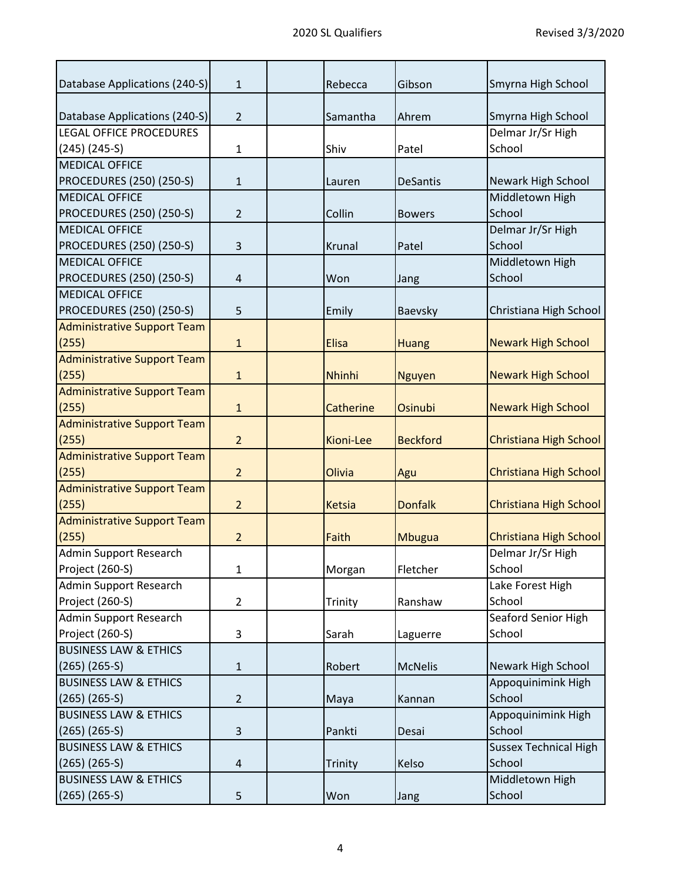| Database Applications (240-S)      | 1              | Rebecca          | Gibson          | Smyrna High School            |
|------------------------------------|----------------|------------------|-----------------|-------------------------------|
| Database Applications (240-S)      | $\overline{2}$ | Samantha         | Ahrem           | Smyrna High School            |
| <b>LEGAL OFFICE PROCEDURES</b>     |                |                  |                 | Delmar Jr/Sr High             |
| $(245)$ $(245-5)$                  | $\mathbf{1}$   | Shiv             | Patel           | School                        |
| <b>MEDICAL OFFICE</b>              |                |                  |                 |                               |
| PROCEDURES (250) (250-S)           | $\mathbf{1}$   | Lauren           | <b>DeSantis</b> | Newark High School            |
| <b>MEDICAL OFFICE</b>              |                |                  |                 | Middletown High               |
| <b>PROCEDURES (250) (250-S)</b>    | $\overline{2}$ | Collin           | <b>Bowers</b>   | School                        |
| <b>MEDICAL OFFICE</b>              |                |                  |                 | Delmar Jr/Sr High             |
| PROCEDURES (250) (250-S)           | 3              | Krunal           | Patel           | School                        |
| <b>MEDICAL OFFICE</b>              |                |                  |                 | Middletown High               |
| PROCEDURES (250) (250-S)           | 4              | Won              | Jang            | School                        |
| <b>MEDICAL OFFICE</b>              |                |                  |                 |                               |
| <b>PROCEDURES (250) (250-S)</b>    | 5              | Emily            | Baevsky         | Christiana High School        |
| <b>Administrative Support Team</b> |                |                  |                 |                               |
| (255)                              | $\mathbf{1}$   | <b>Elisa</b>     | <b>Huang</b>    | <b>Newark High School</b>     |
| <b>Administrative Support Team</b> |                |                  |                 |                               |
| (255)                              | $\mathbf{1}$   | Nhinhi           | <b>Nguyen</b>   | <b>Newark High School</b>     |
| <b>Administrative Support Team</b> |                |                  |                 |                               |
| (255)                              | $\mathbf{1}$   | <b>Catherine</b> | Osinubi         | <b>Newark High School</b>     |
| <b>Administrative Support Team</b> |                |                  |                 |                               |
| (255)                              | $\overline{2}$ | <b>Kioni-Lee</b> | <b>Beckford</b> | <b>Christiana High School</b> |
| <b>Administrative Support Team</b> |                |                  |                 |                               |
| (255)                              | $\overline{2}$ | Olivia           | Agu             | Christiana High School        |
| <b>Administrative Support Team</b> |                |                  |                 |                               |
| (255)                              | $\overline{2}$ | <b>Ketsia</b>    | <b>Donfalk</b>  | <b>Christiana High School</b> |
| <b>Administrative Support Team</b> |                |                  |                 |                               |
| (255)                              | $\overline{2}$ | Faith            | Mbugua          | Christiana High School        |
| Admin Support Research             |                |                  |                 | Delmar Jr/Sr High             |
| Project (260-S)                    | 1              | Morgan           | Fletcher        | School                        |
| Admin Support Research             |                |                  |                 | Lake Forest High              |
| Project (260-S)                    | $\overline{2}$ | Trinity          | Ranshaw         | School                        |
| Admin Support Research             |                |                  |                 | Seaford Senior High           |
| Project (260-S)                    | 3              | Sarah            | Laguerre        | School                        |
| <b>BUSINESS LAW &amp; ETHICS</b>   |                |                  |                 |                               |
| $(265)$ $(265-5)$                  | $\mathbf{1}$   | Robert           | <b>McNelis</b>  | Newark High School            |
| <b>BUSINESS LAW &amp; ETHICS</b>   |                |                  |                 | Appoquinimink High            |
| $(265)$ $(265-5)$                  | $\overline{2}$ | Maya             | Kannan          | School                        |
| <b>BUSINESS LAW &amp; ETHICS</b>   |                |                  |                 | Appoquinimink High            |
| $(265)$ $(265-5)$                  | 3              | Pankti           | Desai           | School                        |
| <b>BUSINESS LAW &amp; ETHICS</b>   |                |                  |                 | <b>Sussex Technical High</b>  |
| $(265)$ $(265-5)$                  | 4              | Trinity          | Kelso           | School                        |
| <b>BUSINESS LAW &amp; ETHICS</b>   |                |                  |                 | Middletown High               |
| $(265)$ $(265- S)$                 | 5              | Won              | Jang            | School                        |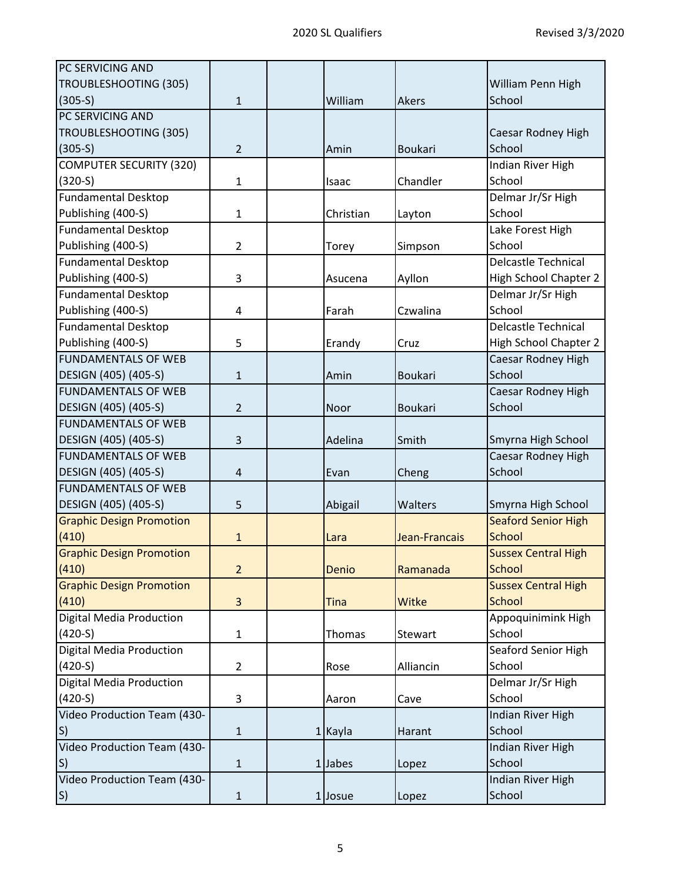| PC SERVICING AND                |                |              |                |                              |
|---------------------------------|----------------|--------------|----------------|------------------------------|
| TROUBLESHOOTING (305)           |                |              |                | William Penn High            |
| $(305-S)$                       | $\mathbf{1}$   | William      | <b>Akers</b>   | School                       |
| PC SERVICING AND                |                |              |                |                              |
| TROUBLESHOOTING (305)           |                |              |                | Caesar Rodney High           |
| $(305-S)$                       | $\overline{2}$ | Amin         | <b>Boukari</b> | School                       |
| <b>COMPUTER SECURITY (320)</b>  |                |              |                | Indian River High            |
| $(320-S)$                       | $\mathbf{1}$   | <b>Isaac</b> | Chandler       | School                       |
| <b>Fundamental Desktop</b>      |                |              |                | Delmar Jr/Sr High            |
| Publishing (400-S)              | $\mathbf{1}$   | Christian    | Layton         | School                       |
| <b>Fundamental Desktop</b>      |                |              |                | Lake Forest High             |
| Publishing (400-S)              | $\overline{2}$ | Torey        | Simpson        | School                       |
| <b>Fundamental Desktop</b>      |                |              |                | <b>Delcastle Technical</b>   |
| Publishing (400-S)              | 3              | Asucena      | Ayllon         | <b>High School Chapter 2</b> |
| <b>Fundamental Desktop</b>      |                |              |                | Delmar Jr/Sr High            |
| Publishing (400-S)              | 4              | Farah        | Czwalina       | School                       |
| <b>Fundamental Desktop</b>      |                |              |                | <b>Delcastle Technical</b>   |
| Publishing (400-S)              | 5              | Erandy       | Cruz           | <b>High School Chapter 2</b> |
| <b>FUNDAMENTALS OF WEB</b>      |                |              |                | Caesar Rodney High           |
| DESIGN (405) (405-S)            | $\mathbf{1}$   | Amin         | <b>Boukari</b> | School                       |
| <b>FUNDAMENTALS OF WEB</b>      |                |              |                | Caesar Rodney High           |
| DESIGN (405) (405-S)            | $\overline{2}$ | Noor         | <b>Boukari</b> | School                       |
| <b>FUNDAMENTALS OF WEB</b>      |                |              |                |                              |
| DESIGN (405) (405-S)            | 3              | Adelina      | Smith          | Smyrna High School           |
| <b>FUNDAMENTALS OF WEB</b>      |                |              |                | Caesar Rodney High           |
| DESIGN (405) (405-S)            | $\overline{4}$ | Evan         | Cheng          | School                       |
| <b>FUNDAMENTALS OF WEB</b>      |                |              |                |                              |
| DESIGN (405) (405-S)            | 5              | Abigail      | Walters        | Smyrna High School           |
| <b>Graphic Design Promotion</b> |                |              |                | <b>Seaford Senior High</b>   |
| (410)                           | $\mathbf{1}$   | Lara         | Jean-Francais  | <b>School</b>                |
| <b>Graphic Design Promotion</b> |                |              |                | <b>Sussex Central High</b>   |
| (410)                           | $\overline{2}$ | Denio        | Ramanada       | <b>School</b>                |
| <b>Graphic Design Promotion</b> |                |              |                | <b>Sussex Central High</b>   |
| (410)                           | $\overline{3}$ | <b>Tina</b>  | Witke          | <b>School</b>                |
| <b>Digital Media Production</b> |                |              |                | Appoquinimink High           |
| $(420-S)$                       | $\mathbf{1}$   | Thomas       | Stewart        | School                       |
| <b>Digital Media Production</b> |                |              |                | Seaford Senior High          |
| $(420-S)$                       | $\overline{2}$ | Rose         | Alliancin      | School                       |
| <b>Digital Media Production</b> |                |              |                | Delmar Jr/Sr High            |
| $(420-S)$                       | 3              | Aaron        | Cave           | School                       |
| Video Production Team (430-     |                |              |                | Indian River High            |
| S)                              | $\mathbf{1}$   | 1 Kayla      | Harant         | School                       |
| Video Production Team (430-     |                |              |                | Indian River High            |
| S)                              | $\mathbf{1}$   | 1 Jabes      | Lopez          | School                       |
| Video Production Team (430-     |                |              |                | Indian River High            |
| $ S\rangle$                     | $\mathbf{1}$   | 1 Josue      | Lopez          | School                       |
|                                 |                |              |                |                              |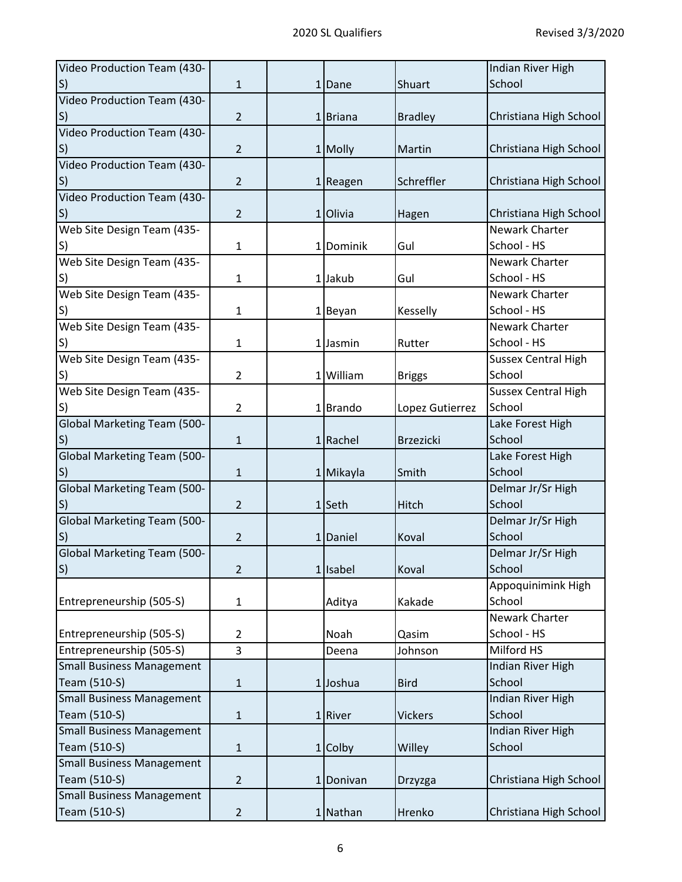| Video Production Team (430-        |                |           |                  | Indian River High          |
|------------------------------------|----------------|-----------|------------------|----------------------------|
| S)                                 | $\mathbf{1}$   | 1 Dane    | Shuart           | School                     |
| Video Production Team (430-        |                |           |                  |                            |
| $\vert S \rangle$                  | $\overline{2}$ | 1 Briana  | <b>Bradley</b>   | Christiana High School     |
| Video Production Team (430-        |                |           |                  |                            |
| S)                                 | $\overline{2}$ | 1 Molly   | Martin           | Christiana High School     |
| Video Production Team (430-        |                |           |                  |                            |
| S)                                 | $\overline{2}$ | 1 Reagen  | Schreffler       | Christiana High School     |
| Video Production Team (430-        |                |           |                  |                            |
| S)                                 | $\overline{2}$ | 1 Olivia  | Hagen            | Christiana High School     |
| Web Site Design Team (435-         |                |           |                  | <b>Newark Charter</b>      |
| S)                                 | $\mathbf{1}$   | 1 Dominik | Gul              | School - HS                |
| Web Site Design Team (435-         |                |           |                  | Newark Charter             |
| S)                                 | $\mathbf{1}$   | 1 Jakub   | Gul              | School - HS                |
| Web Site Design Team (435-         |                |           |                  | Newark Charter             |
| S)                                 | $\mathbf{1}$   | 1 Beyan   | Kesselly         | School - HS                |
| Web Site Design Team (435-         |                |           |                  | Newark Charter             |
| S)                                 | 1              | 1 Jasmin  | Rutter           | School - HS                |
| Web Site Design Team (435-         |                |           |                  | <b>Sussex Central High</b> |
| S)                                 | $\overline{2}$ | 1 William | <b>Briggs</b>    | School                     |
| Web Site Design Team (435-         |                |           |                  | <b>Sussex Central High</b> |
| S)                                 | $\overline{2}$ | 1Brando   | Lopez Gutierrez  | School                     |
| <b>Global Marketing Team (500-</b> |                |           |                  | Lake Forest High           |
| S)                                 | $\mathbf{1}$   | 1 Rachel  | <b>Brzezicki</b> | School                     |
| <b>Global Marketing Team (500-</b> |                |           |                  | Lake Forest High           |
| S)                                 | $\mathbf{1}$   | 1 Mikayla | Smith            | School                     |
| <b>Global Marketing Team (500-</b> |                |           |                  | Delmar Jr/Sr High          |
| $ S\rangle$                        | $\overline{2}$ | $1$ Seth  | Hitch            | School                     |
| <b>Global Marketing Team (500-</b> |                |           |                  | Delmar Jr/Sr High          |
| S)                                 | $\overline{2}$ | 1 Daniel  | Koval            | School                     |
| <b>Global Marketing Team (500-</b> |                |           |                  | Delmar Jr/Sr High          |
| S                                  | 2              | 1 Isabel  | Koval            | School                     |
|                                    |                |           |                  | Appoquinimink High         |
| Entrepreneurship (505-S)           | $\mathbf{1}$   | Aditya    | Kakade           | School                     |
|                                    |                |           |                  | Newark Charter             |
| Entrepreneurship (505-S)           | $\overline{2}$ | Noah      | Qasim            | School - HS                |
| Entrepreneurship (505-S)           | 3              | Deena     | Johnson          | Milford HS                 |
| <b>Small Business Management</b>   |                |           |                  | Indian River High          |
| Team (510-S)                       | $\mathbf{1}$   | 1 Joshua  | <b>Bird</b>      | School                     |
| <b>Small Business Management</b>   |                |           |                  | Indian River High          |
| Team (510-S)                       | $\mathbf{1}$   | 1 River   | <b>Vickers</b>   | School                     |
| <b>Small Business Management</b>   |                |           |                  | Indian River High          |
| Team (510-S)                       | $\mathbf{1}$   | 1 Colby   | Willey           | School                     |
| <b>Small Business Management</b>   |                |           |                  |                            |
| Team (510-S)                       | $\overline{2}$ |           |                  | Christiana High School     |
| <b>Small Business Management</b>   |                | 1 Donivan | Drzyzga          |                            |
|                                    |                |           |                  |                            |
| Team (510-S)                       | $\overline{2}$ | 1 Nathan  | Hrenko           | Christiana High School     |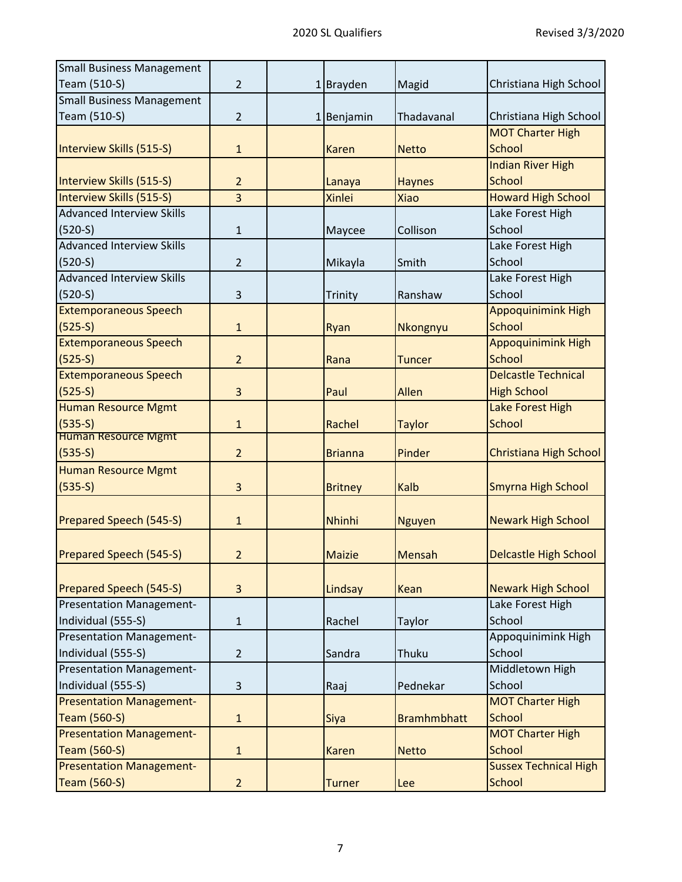| Christiana High School<br>Christiana High School                              |
|-------------------------------------------------------------------------------|
|                                                                               |
|                                                                               |
|                                                                               |
|                                                                               |
|                                                                               |
|                                                                               |
|                                                                               |
| <b>Howard High School</b>                                                     |
|                                                                               |
|                                                                               |
|                                                                               |
|                                                                               |
|                                                                               |
|                                                                               |
| <b>Appoquinimink High</b>                                                     |
|                                                                               |
| <b>Appoquinimink High</b>                                                     |
|                                                                               |
| <b>Delcastle Technical</b>                                                    |
|                                                                               |
|                                                                               |
|                                                                               |
|                                                                               |
| Christiana High School                                                        |
|                                                                               |
| Smyrna High School                                                            |
|                                                                               |
| <b>Newark High School</b>                                                     |
|                                                                               |
| <b>Delcastle High School</b>                                                  |
|                                                                               |
| <b>Newark High School</b>                                                     |
|                                                                               |
|                                                                               |
| Appoquinimink High                                                            |
|                                                                               |
|                                                                               |
|                                                                               |
|                                                                               |
|                                                                               |
|                                                                               |
|                                                                               |
| <b>Sussex Technical High</b>                                                  |
|                                                                               |
| <b>MOT Charter High</b><br><b>MOT Charter High</b><br><b>MOT Charter High</b> |